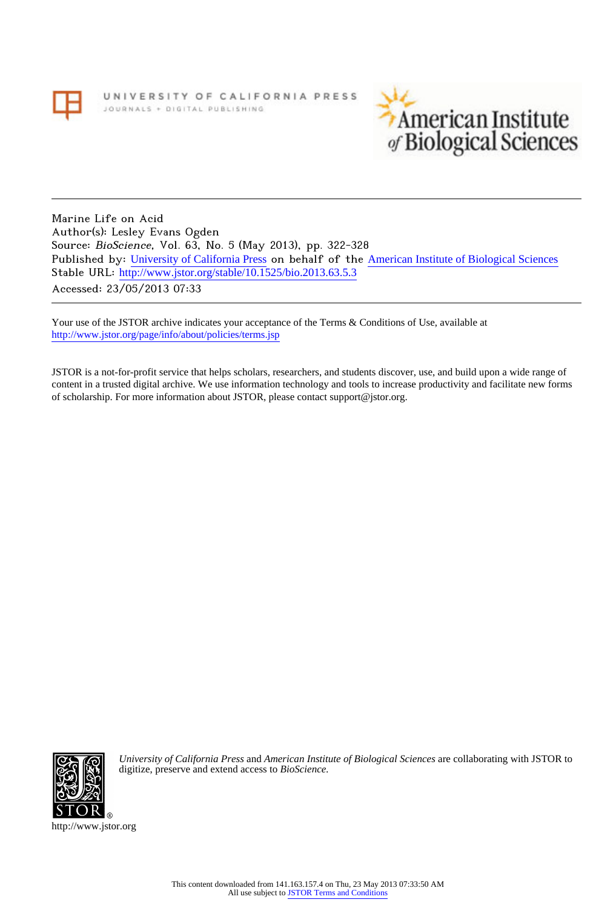

UNIVERSITY OF CALIFORNIA PRESS JOURNALS + DIGITAL PUBLISHING



Marine Life on Acid Author(s): Lesley Evans Ogden Source: BioScience, Vol. 63, No. 5 (May 2013), pp. 322-328 Published by: [University of California Press](http://www.jstor.org/action/showPublisher?publisherCode=ucal) on behalf of the [American Institute of Biological Sciences](http://www.jstor.org/action/showPublisher?publisherCode=aibs) Stable URL: [http://www.jstor.org/stable/10.1525/bio.2013.63.5.3](http://www.jstor.org/stable/10.1525/bio.2013.63.5.3?origin=JSTOR-pdf) . Accessed: 23/05/2013 07:33

Your use of the JSTOR archive indicates your acceptance of the Terms & Conditions of Use, available at <http://www.jstor.org/page/info/about/policies/terms.jsp>

JSTOR is a not-for-profit service that helps scholars, researchers, and students discover, use, and build upon a wide range of content in a trusted digital archive. We use information technology and tools to increase productivity and facilitate new forms of scholarship. For more information about JSTOR, please contact support@jstor.org.



*University of California Press* and *American Institute of Biological Sciences* are collaborating with JSTOR to digitize, preserve and extend access to *BioScience.*

http://www.jstor.org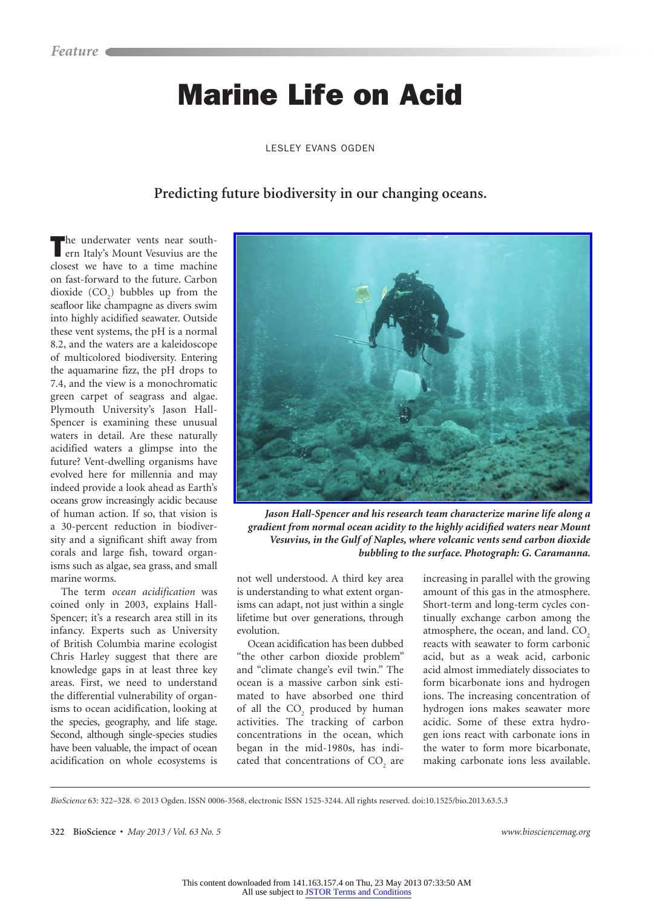# Marine Life on Acid

## Lesley Evans Ogden

## **Predicting future biodiversity in our changing oceans.**

The underwater vents near south-ern Italy's Mount Vesuvius are the closest we have to a time machine on fast-forward to the future. Carbon dioxide  $(CO_2)$  bubbles up from the seafloor like champagne as divers swim into highly acidified seawater. Outside these vent systems, the pH is a normal 8.2, and the waters are a kaleidoscope of multicolored biodiversity. Entering the aquamarine fizz, the pH drops to 7.4, and the view is a monochromatic green carpet of seagrass and algae. Plymouth University's Jason Hall-Spencer is examining these unusual waters in detail. Are these naturally acidified waters a glimpse into the future? Vent-dwelling organisms have evolved here for millennia and may indeed provide a look ahead as Earth's oceans grow increasingly acidic because of human action. If so, that vision is a 30-percent reduction in biodiversity and a significant shift away from corals and large fish, toward organisms such as algae, sea grass, and small marine worms.

The term *ocean acidification* was coined only in 2003, explains Hall-Spencer; it's a research area still in its infancy. Experts such as University of British Columbia marine ecologist Chris Harley suggest that there are knowledge gaps in at least three key areas. First, we need to understand the differential vulnerability of organisms to ocean acidification, looking at the species, geography, and life stage. Second, although single-species studies have been valuable, the impact of ocean acidification on whole ecosystems is



*Jason Hall-Spencer and his research team characterize marine life along a gradient from normal ocean acidity to the highly acidified waters near Mount Vesuvius, in the Gulf of Naples, where volcanic vents send carbon dioxide bubbling to the surface. Photograph: G. Caramanna.*

not well understood. A third key area is understanding to what extent organisms can adapt, not just within a single lifetime but over generations, through evolution.

Ocean acidification has been dubbed "the other carbon dioxide problem" and "climate change's evil twin." The ocean is a massive carbon sink estimated to have absorbed one third of all the  $CO<sub>2</sub>$  produced by human activities. The tracking of carbon concentrations in the ocean, which began in the mid-1980s, has indicated that concentrations of  $CO<sub>2</sub>$  are increasing in parallel with the growing amount of this gas in the atmosphere. Short-term and long-term cycles continually exchange carbon among the atmosphere, the ocean, and land. CO<sub>2</sub> reacts with seawater to form carbonic acid, but as a weak acid, carbonic acid almost immediately dissociates to form bicarbonate ions and hydrogen ions. The increasing concentration of hydrogen ions makes seawater more acidic. Some of these extra hydrogen ions react with carbonate ions in the water to form more bicarbonate, making carbonate ions less available.

*BioScience* 63: 322–328. © 2013 Ogden. ISSN 0006-3568, electronic ISSN 1525-3244. All rights reserved. doi:10.1525/bio.2013.63.5.3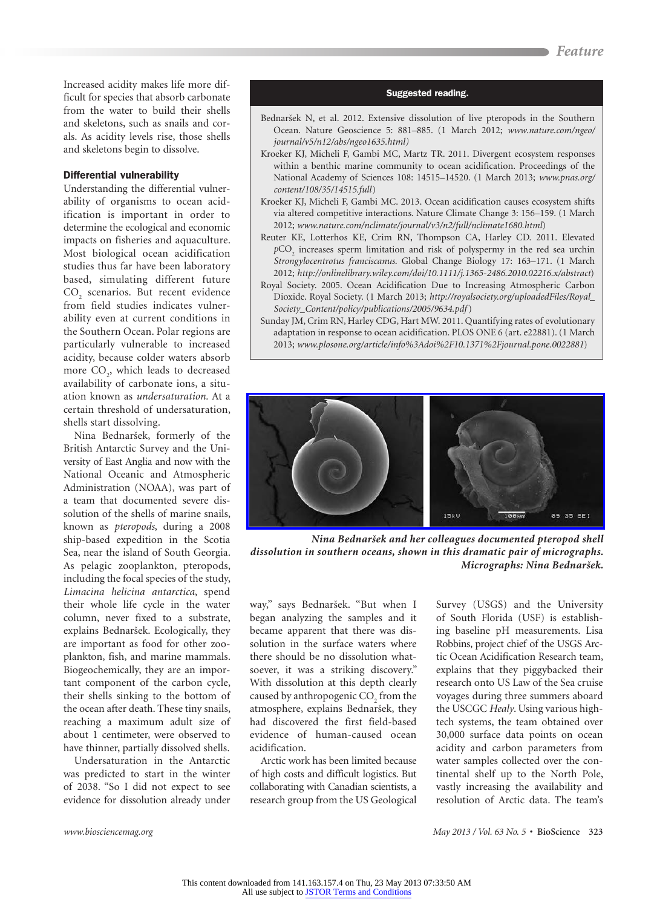Increased acidity makes life more difficult for species that absorb carbonate from the water to build their shells and skeletons, such as snails and corals. As acidity levels rise, those shells and skeletons begin to dissolve.

## Differential vulnerability

Understanding the differential vulnerability of organisms to ocean acidification is important in order to determine the ecological and economic impacts on fisheries and aquaculture. Most biological ocean acidification studies thus far have been laboratory based, simulating different future CO<sub>2</sub> scenarios. But recent evidence from field studies indicates vulnerability even at current conditions in the Southern Ocean. Polar regions are particularly vulnerable to increased acidity, because colder waters absorb more  $CO<sub>2</sub>$ , which leads to decreased availability of carbonate ions, a situation known as *undersaturation.* At a certain threshold of undersaturation, shells start dissolving.

Nina Bednaršek, formerly of the British Antarctic Survey and the University of East Anglia and now with the National Oceanic and Atmospheric Administration (NOAA), was part of a team that documented severe dissolution of the shells of marine snails, known as *pteropods*, during a 2008 ship-based expedition in the Scotia Sea, near the island of South Georgia. As pelagic zooplankton, pteropods, including the focal species of the study, *Limacina helicina antarctica*, spend their whole life cycle in the water column, never fixed to a substrate, explains Bednaršek. Ecologically, they are important as food for other zooplankton, fish, and marine mammals. Biogeochemically, they are an important component of the carbon cycle, their shells sinking to the bottom of the ocean after death. These tiny snails, reaching a maximum adult size of about 1 centimeter, were observed to have thinner, partially dissolved shells.

Undersaturation in the Antarctic was predicted to start in the winter of 2038. "So I did not expect to see evidence for dissolution already under

#### Suggested reading.

- Bednaršek N, et al. 2012. Extensive dissolution of live pteropods in the Southern Ocean. Nature Geoscience 5: 881–885. (1 March 2012; *www.nature.com/ngeo/ journal/v5/n12/abs/ngeo1635.html)*
- Kroeker KJ, Micheli F, Gambi MC, Martz TR. 2011. Divergent ecosystem responses within a benthic marine community to ocean acidification. Proceedings of the National Academy of Sciences 108: 14515–14520. (1 March 2013; *www.pnas.org/ content/108/35/14515.full*)
- Kroeker KJ, Micheli F, Gambi MC. 2013. Ocean acidification causes ecosystem shifts via altered competitive interactions. Nature Climate Change 3: 156–159. (1 March 2012; *www.nature.com/nclimate/journal/v3/n2/full/nclimate1680.html*)
- Reuter KE, Lotterhos KE, Crim RN, Thompson CA, Harley CD. 2011. Elevated pCO<sub>2</sub> increases sperm limitation and risk of polyspermy in the red sea urchin *Strongylocentrotus franciscanus*. Global Change Biology 17: 163–171. (1 March 2012; *http://onlinelibrary.wiley.com/doi/10.1111/j.1365-2486.2010.02216.x/abstract*)
- Royal Society. 2005. Ocean Acidification Due to Increasing Atmospheric Carbon Dioxide. Royal Society. (1 March 2013; *http://royalsociety.org/uploadedFiles/Royal\_ Society\_Content/policy/publications/2005/9634.pdf*)
- Sunday JM, Crim RN, Harley CDG, Hart MW. 2011. Quantifying rates of evolutionary adaptation in response to ocean acidification. PLOS ONE 6 (art. e22881). (1 March 2013; *www.plosone.org/article/info%3Adoi%2F10.1371%2Fjournal.pone.0022881*)



*Nina Bednaršek and her colleagues documented pteropod shell dissolution in southern oceans, shown in this dramatic pair of micrographs. Micrographs: Nina Bednaršek.*

way," says Bednaršek. "But when I began analyzing the samples and it became apparent that there was dissolution in the surface waters where there should be no dissolution whatsoever, it was a striking discovery." With dissolution at this depth clearly caused by anthropogenic  $\mathrm{CO}_2$  from the atmosphere, explains Bednaršek, they had discovered the first field-based evidence of human-caused ocean acidification.

Arctic work has been limited because of high costs and difficult logistics. But collaborating with Canadian scientists, a research group from the US Geological Survey (USGS) and the University of South Florida (USF) is establishing baseline pH measurements. Lisa Robbins, project chief of the USGS Arctic Ocean Acidification Research team, explains that they piggybacked their research onto US Law of the Sea cruise voyages during three summers aboard the USCGC *Healy*. Using various hightech systems, the team obtained over 30,000 surface data points on ocean acidity and carbon parameters from water samples collected over the continental shelf up to the North Pole, vastly increasing the availability and resolution of Arctic data. The team's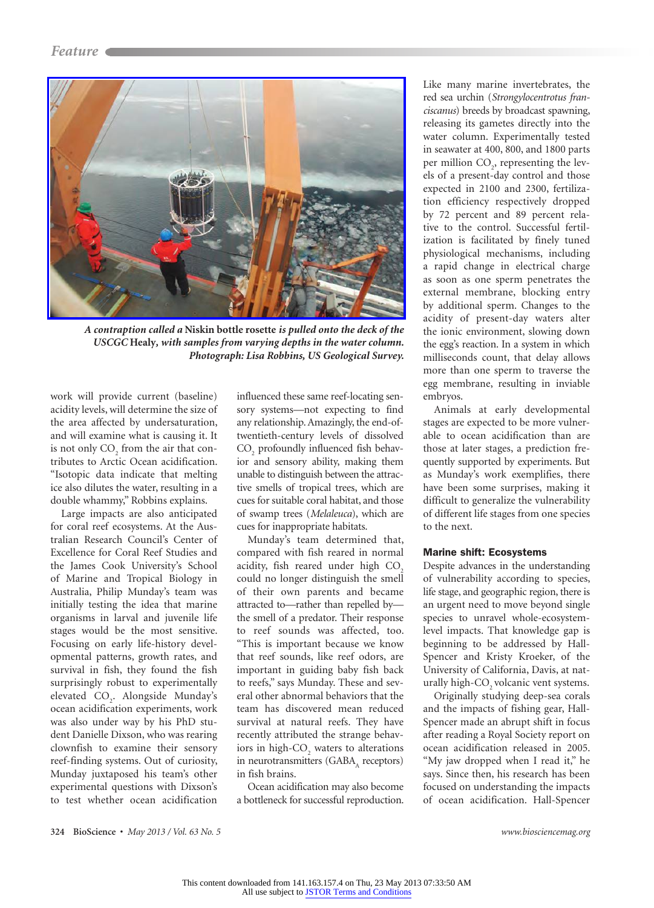# *Feature Feature*



*A contraption called a* **Niskin bottle rosette** *is pulled onto the deck of the USCGC* **Healy***, with samples from varying depths in the water column. Photograph: Lisa Robbins, US Geological Survey.*

work will provide current (baseline) acidity levels, will determine the size of the area affected by undersaturation, and will examine what is causing it. It is not only  $CO<sub>2</sub>$  from the air that contributes to Arctic Ocean acidification. "Isotopic data indicate that melting ice also dilutes the water, resulting in a double whammy," Robbins explains.

Large impacts are also anticipated for coral reef ecosystems. At the Australian Research Council's Center of Excellence for Coral Reef Studies and the James Cook University's School of Marine and Tropical Biology in Australia, Philip Munday's team was initially testing the idea that marine organisms in larval and juvenile life stages would be the most sensitive. Focusing on early life-history developmental patterns, growth rates, and survival in fish, they found the fish surprisingly robust to experimentally elevated CO<sub>2</sub>. Alongside Munday's ocean acidification experiments, work was also under way by his PhD student Danielle Dixson, who was rearing clownfish to examine their sensory reef-finding systems. Out of curiosity, Munday juxtaposed his team's other experimental questions with Dixson's to test whether ocean acidification

influenced these same reef-locating sensory systems—not expecting to find any relationship. Amazingly, the end-oftwentieth-century levels of dissolved  $CO<sub>2</sub>$  profoundly influenced fish behavior and sensory ability, making them unable to distinguish between the attractive smells of tropical trees, which are cues for suitable coral habitat, and those of swamp trees (*Melaleuca*), which are cues for inappropriate habitats.

Munday's team determined that, compared with fish reared in normal acidity, fish reared under high CO<sub>2</sub> could no longer distinguish the smell of their own parents and became attracted to—rather than repelled by the smell of a predator. Their response to reef sounds was affected, too. "This is important because we know that reef sounds, like reef odors, are important in guiding baby fish back to reefs," says Munday. These and several other abnormal behaviors that the team has discovered mean reduced survival at natural reefs. They have recently attributed the strange behaviors in high- $CO<sub>2</sub>$  waters to alterations in neurotransmitters (GABA, receptors) in fish brains.

Ocean acidification may also become a bottleneck for successful reproduction.

Like many marine invertebrates, the red sea urchin (*Strongylocentrotus franciscanus*) breeds by broadcast spawning, releasing its gametes directly into the water column. Experimentally tested in seawater at 400, 800, and 1800 parts per million  $CO_2$ , representing the levels of a present-day control and those expected in 2100 and 2300, fertilization efficiency respectively dropped by 72 percent and 89 percent relative to the control. Successful fertilization is facilitated by finely tuned physiological mechanisms, including a rapid change in electrical charge as soon as one sperm penetrates the external membrane, blocking entry by additional sperm. Changes to the acidity of present-day waters alter the ionic environment, slowing down the egg's reaction. In a system in which milliseconds count, that delay allows more than one sperm to traverse the egg membrane, resulting in inviable embryos.

Animals at early developmental stages are expected to be more vulnerable to ocean acidification than are those at later stages, a prediction frequently supported by experiments. But as Munday's work exemplifies, there have been some surprises, making it difficult to generalize the vulnerability of different life stages from one species to the next.

## Marine shift: Ecosystems

Despite advances in the understanding of vulnerability according to species, life stage, and geographic region, there is an urgent need to move beyond single species to unravel whole-ecosystemlevel impacts. That knowledge gap is beginning to be addressed by Hall-Spencer and Kristy Kroeker, of the University of California, Davis, at naturally high-CO<sub>2</sub> volcanic vent systems.

Originally studying deep-sea corals and the impacts of fishing gear, Hall-Spencer made an abrupt shift in focus after reading a Royal Society report on ocean acidification released in 2005. "My jaw dropped when I read it," he says. Since then, his research has been focused on understanding the impacts of ocean acidification. Hall-Spencer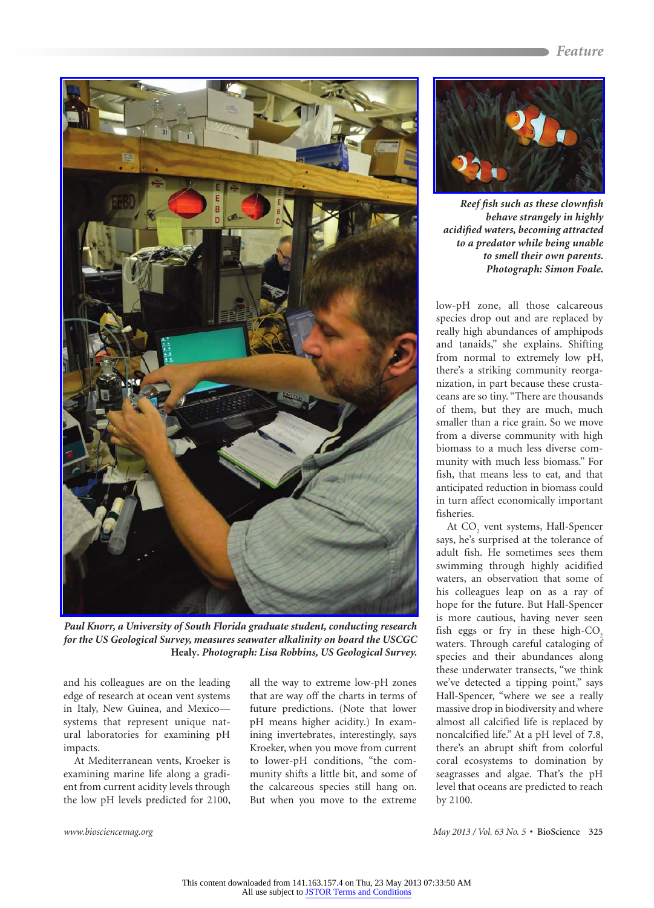## *Feature*



*Paul Knorr, a University of South Florida graduate student, conducting research for the US Geological Survey, measures seawater alkalinity on board the USCGC*  **Healy***. Photograph: Lisa Robbins, US Geological Survey.*

and his colleagues are on the leading edge of research at ocean vent systems in Italy, New Guinea, and Mexico systems that represent unique natural laboratories for examining pH impacts.

At Mediterranean vents, Kroeker is examining marine life along a gradient from current acidity levels through the low pH levels predicted for 2100, all the way to extreme low-pH zones that are way off the charts in terms of future predictions. (Note that lower pH means higher acidity.) In examining invertebrates, interestingly, says Kroeker, when you move from current to lower-pH conditions, "the community shifts a little bit, and some of the calcareous species still hang on. But when you move to the extreme



*Reef fish such as these clownfish behave strangely in highly acidified waters, becoming attracted to a predator while being unable to smell their own parents. Photograph: Simon Foale.*

low-pH zone, all those calcareous species drop out and are replaced by really high abundances of amphipods and tanaids," she explains. Shifting from normal to extremely low pH, there's a striking community reorganization, in part because these crustaceans are so tiny. "There are thousands of them, but they are much, much smaller than a rice grain. So we move from a diverse community with high biomass to a much less diverse community with much less biomass." For fish, that means less to eat, and that anticipated reduction in biomass could in turn affect economically important fisheries.

At CO<sub>2</sub> vent systems, Hall-Spencer says, he's surprised at the tolerance of adult fish. He sometimes sees them swimming through highly acidified waters, an observation that some of his colleagues leap on as a ray of hope for the future. But Hall-Spencer is more cautious, having never seen fish eggs or fry in these high- $CO<sub>2</sub>$ waters. Through careful cataloging of species and their abundances along these underwater transects, "we think we've detected a tipping point," says Hall-Spencer, "where we see a really massive drop in biodiversity and where almost all calcified life is replaced by noncalcified life." At a pH level of 7.8, there's an abrupt shift from colorful coral ecosystems to domination by seagrasses and algae. That's the pH level that oceans are predicted to reach by 2100.

*www.biosciencemag.org May 2013 / Vol. 63 No. 5* **• BioScience 325**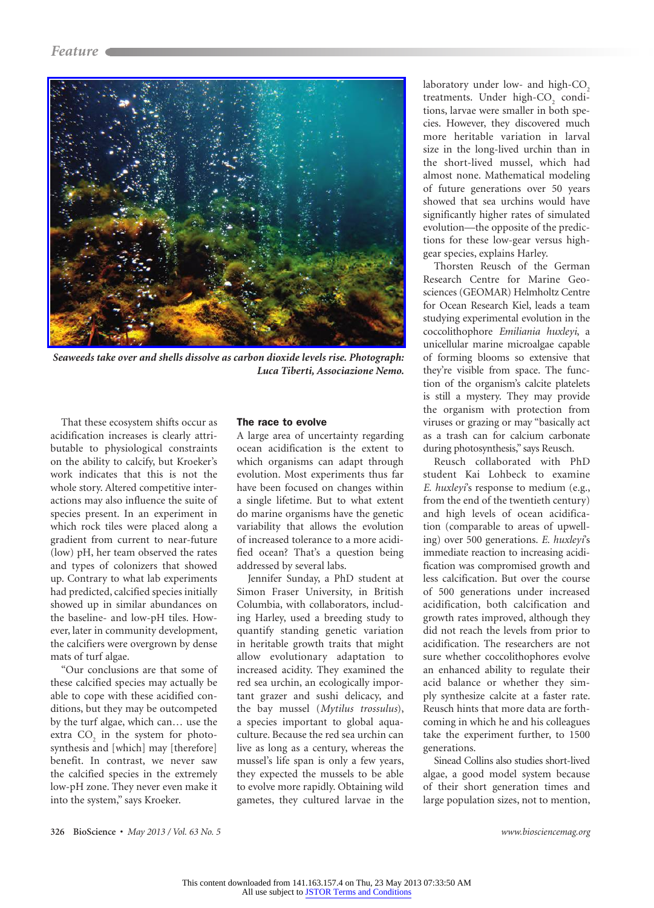

*Seaweeds take over and shells dissolve as carbon dioxide levels rise. Photograph: Luca Tiberti, Associazione Nemo.*

That these ecosystem shifts occur as acidification increases is clearly attributable to physiological constraints on the ability to calcify, but Kroeker's work indicates that this is not the whole story. Altered competitive interactions may also influence the suite of species present. In an experiment in which rock tiles were placed along a gradient from current to near-future (low) pH, her team observed the rates and types of colonizers that showed up. Contrary to what lab experiments had predicted, calcified species initially showed up in similar abundances on the baseline- and low-pH tiles. However, later in community development, the calcifiers were overgrown by dense mats of turf algae.

"Our conclusions are that some of these calcified species may actually be able to cope with these acidified conditions, but they may be outcompeted by the turf algae, which can… use the extra  $CO<sub>2</sub>$  in the system for photosynthesis and [which] may [therefore] benefit. In contrast, we never saw the calcified species in the extremely low-pH zone. They never even make it into the system," says Kroeker.

## The race to evolve

A large area of uncertainty regarding ocean acidification is the extent to which organisms can adapt through evolution. Most experiments thus far have been focused on changes within a single lifetime. But to what extent do marine organisms have the genetic variability that allows the evolution of increased tolerance to a more acidified ocean? That's a question being addressed by several labs.

Jennifer Sunday, a PhD student at Simon Fraser University, in British Columbia, with collaborators, including Harley, used a breeding study to quantify standing genetic variation in heritable growth traits that might allow evolutionary adaptation to increased acidity. They examined the red sea urchin, an ecologically important grazer and sushi delicacy, and the bay mussel (*Mytilus trossulus*), a species important to global aquaculture. Because the red sea urchin can live as long as a century, whereas the mussel's life span is only a few years, they expected the mussels to be able to evolve more rapidly. Obtaining wild gametes, they cultured larvae in the

laboratory under low- and high-CO<sub>2</sub> treatments. Under  $high\text{-}CO_{2}$  conditions, larvae were smaller in both species. However, they discovered much more heritable variation in larval size in the long-lived urchin than in the short-lived mussel, which had almost none. Mathematical modeling of future generations over 50 years showed that sea urchins would have significantly higher rates of simulated evolution—the opposite of the predictions for these low-gear versus highgear species, explains Harley.

Thorsten Reusch of the German Research Centre for Marine Geosciences (GEOMAR) Helmholtz Centre for Ocean Research Kiel, leads a team studying experimental evolution in the coccolithophore *Emiliania huxleyi*, a unicellular marine microalgae capable of forming blooms so extensive that they're visible from space. The function of the organism's calcite platelets is still a mystery. They may provide the organism with protection from viruses or grazing or may "basically act as a trash can for calcium carbonate during photosynthesis," says Reusch.

Reusch collaborated with PhD student Kai Lohbeck to examine *E. huxleyi*'s response to medium (e.g., from the end of the twentieth century) and high levels of ocean acidification (comparable to areas of upwelling) over 500 generations. *E. huxleyi*'s immediate reaction to increasing acidification was compromised growth and less calcification. But over the course of 500 generations under increased acidification, both calcification and growth rates improved, although they did not reach the levels from prior to acidification. The researchers are not sure whether coccolithophores evolve an enhanced ability to regulate their acid balance or whether they simply synthesize calcite at a faster rate. Reusch hints that more data are forthcoming in which he and his colleagues take the experiment further, to 1500 generations.

Sinead Collins also studies short-lived algae, a good model system because of their short generation times and large population sizes, not to mention,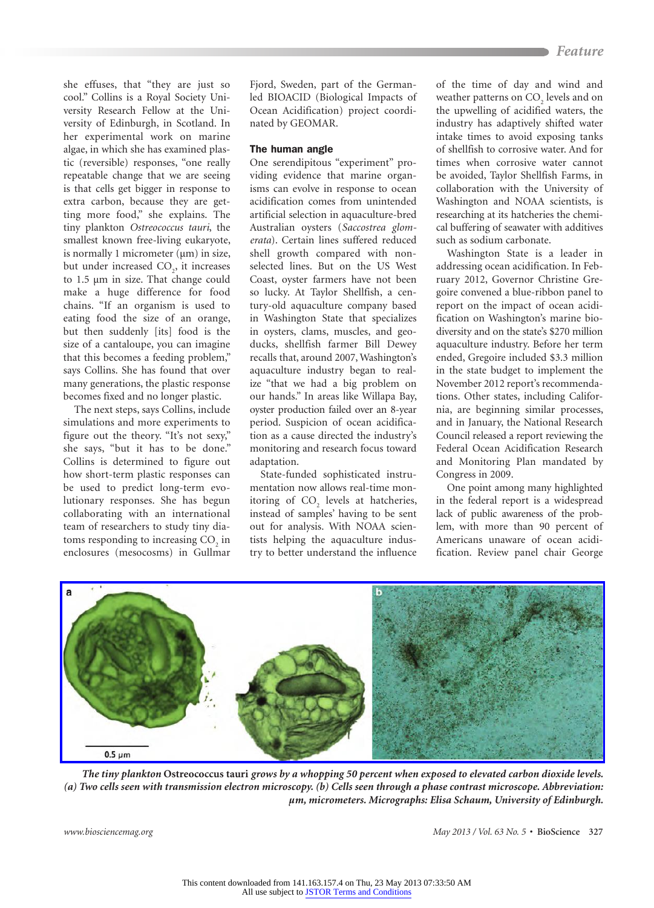she effuses, that "they are just so cool." Collins is a Royal Society University Research Fellow at the University of Edinburgh, in Scotland. In her experimental work on marine algae, in which she has examined plastic (reversible) responses, "one really repeatable change that we are seeing is that cells get bigger in response to extra carbon, because they are getting more food," she explains. The tiny plankton *Ostreococcus tauri*, the smallest known free-living eukaryote, is normally 1 micrometer  $(\mu m)$  in size, but under increased  $CO<sub>2</sub>$ , it increases to 1.5 µm in size. That change could make a huge difference for food chains. "If an organism is used to eating food the size of an orange, but then suddenly [its] food is the size of a cantaloupe, you can imagine that this becomes a feeding problem," says Collins. She has found that over many generations, the plastic response becomes fixed and no longer plastic.

The next steps, says Collins, include simulations and more experiments to figure out the theory. "It's not sexy," she says, "but it has to be done." Collins is determined to figure out how short-term plastic responses can be used to predict long-term evolutionary responses. She has begun collaborating with an international team of researchers to study tiny diatoms responding to increasing  $CO<sub>2</sub>$  in enclosures (mesocosms) in Gullmar

Fjord, Sweden, part of the Germanled BIOACID (Biological Impacts of Ocean Acidification) project coordinated by GEOMAR.

## The human angle

One serendipitous "experiment" providing evidence that marine organisms can evolve in response to ocean acidification comes from unintended artificial selection in aquaculture-bred Australian oysters (*Saccostrea glomerata*). Certain lines suffered reduced shell growth compared with nonselected lines. But on the US West Coast, oyster farmers have not been so lucky. At Taylor Shellfish, a century-old aquaculture company based in Washington State that specializes in oysters, clams, muscles, and geoducks, shellfish farmer Bill Dewey recalls that, around 2007, Washington's aquaculture industry began to realize "that we had a big problem on our hands." In areas like Willapa Bay, oyster production failed over an 8-year period. Suspicion of ocean acidification as a cause directed the industry's monitoring and research focus toward adaptation.

State-funded sophisticated instrumentation now allows real-time monitoring of  $CO<sub>2</sub>$  levels at hatcheries, instead of samples' having to be sent out for analysis. With NOAA scientists helping the aquaculture industry to better understand the influence

of the time of day and wind and weather patterns on  $\mathrm{CO}_2$  levels and on the upwelling of acidified waters, the industry has adaptively shifted water intake times to avoid exposing tanks of shellfish to corrosive water. And for times when corrosive water cannot be avoided, Taylor Shellfish Farms, in collaboration with the University of Washington and NOAA scientists, is researching at its hatcheries the chemical buffering of seawater with additives such as sodium carbonate.

Washington State is a leader in addressing ocean acidification. In February 2012, Governor Christine Gregoire convened a blue-ribbon panel to report on the impact of ocean acidification on Washington's marine biodiversity and on the state's \$270 million aquaculture industry. Before her term ended, Gregoire included \$3.3 million in the state budget to implement the November 2012 report's recommendations. Other states, including California, are beginning similar processes, and in January, the National Research Council released a report reviewing the Federal Ocean Acidification Research and Monitoring Plan mandated by Congress in 2009.

One point among many highlighted in the federal report is a widespread lack of public awareness of the problem, with more than 90 percent of Americans unaware of ocean acidification. Review panel chair George



*The tiny plankton* **Ostreococcus tauri** *grows by a whopping 50 percent when exposed to elevated carbon dioxide levels. (a) Two cells seen with transmission electron microscopy. (b) Cells seen through a phase contrast microscope. Abbreviation: µm, micrometers. Micrographs: Elisa Schaum, University of Edinburgh.*

*www.biosciencemag.org May 2013 / Vol. 63 No. 5* **• BioScience 327**